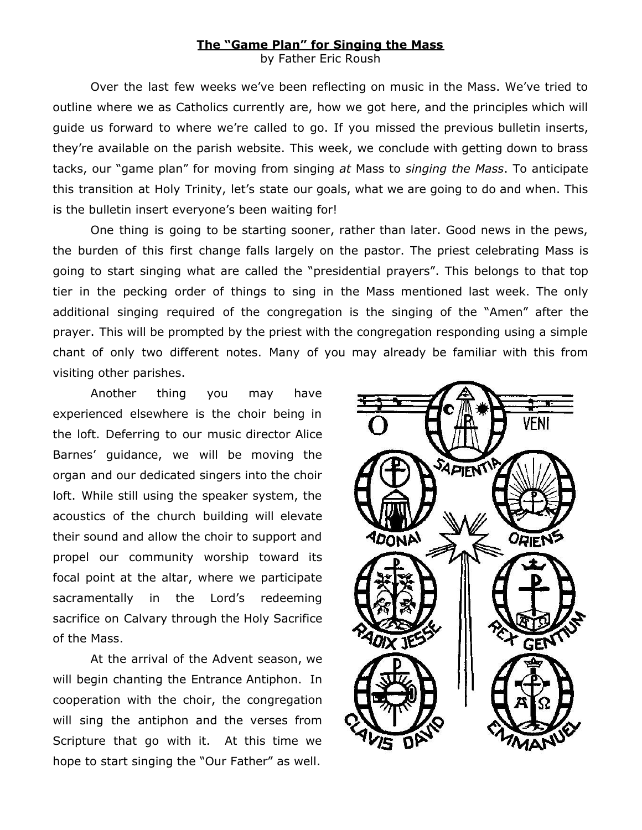## **The "Game Plan" for Singing the Mass** by Father Eric Roush

Over the last few weeks we've been reflecting on music in the Mass. We've tried to outline where we as Catholics currently are, how we got here, and the principles which will guide us forward to where we're called to go. If you missed the previous bulletin inserts, they're available on the parish website. This week, we conclude with getting down to brass tacks, our "game plan" for moving from singing *at* Mass to *singing the Mass*. To anticipate this transition at Holy Trinity, let's state our goals, what we are going to do and when. This is the bulletin insert everyone's been waiting for!

One thing is going to be starting sooner, rather than later. Good news in the pews, the burden of this first change falls largely on the pastor. The priest celebrating Mass is going to start singing what are called the "presidential prayers". This belongs to that top tier in the pecking order of things to sing in the Mass mentioned last week. The only additional singing required of the congregation is the singing of the "Amen" after the prayer. This will be prompted by the priest with the congregation responding using a simple chant of only two different notes. Many of you may already be familiar with this from visiting other parishes.

Another thing you may have experienced elsewhere is the choir being in the loft. Deferring to our music director Alice Barnes' guidance, we will be moving the organ and our dedicated singers into the choir loft. While still using the speaker system, the acoustics of the church building will elevate their sound and allow the choir to support and propel our community worship toward its focal point at the altar, where we participate sacramentally in the Lord's redeeming sacrifice on Calvary through the Holy Sacrifice of the Mass.

At the arrival of the Advent season, we will begin chanting the Entrance Antiphon. In cooperation with the choir, the congregation will sing the antiphon and the verses from Scripture that go with it. At this time we hope to start singing the "Our Father" as well.